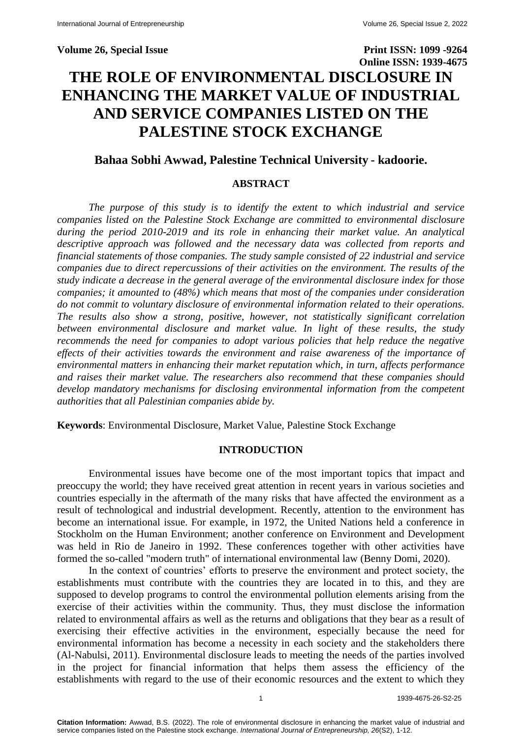# **Volume 26, Special Issue Print ISSN: 1099 -9264 Online ISSN: 1939-4675 THE ROLE OF ENVIRONMENTAL DISCLOSURE IN ENHANCING THE MARKET VALUE OF INDUSTRIAL AND SERVICE COMPANIES LISTED ON THE PALESTINE STOCK EXCHANGE**

# **Bahaa Sobhi Awwad, Palestine Technical University - kadoorie.**

# **ABSTRACT**

*The purpose of this study is to identify the extent to which industrial and service companies listed on the Palestine Stock Exchange are committed to environmental disclosure during the period 2010-2019 and its role in enhancing their market value. An analytical descriptive approach was followed and the necessary data was collected from reports and financial statements of those companies. The study sample consisted of 22 industrial and service companies due to direct repercussions of their activities on the environment. The results of the study indicate a decrease in the general average of the environmental disclosure index for those companies; it amounted to (48%) which means that most of the companies under consideration do not commit to voluntary disclosure of environmental information related to their operations. The results also show a strong, positive, however, not statistically significant correlation between environmental disclosure and market value. In light of these results, the study recommends the need for companies to adopt various policies that help reduce the negative effects of their activities towards the environment and raise awareness of the importance of environmental matters in enhancing their market reputation which, in turn, affects performance and raises their market value. The researchers also recommend that these companies should develop mandatory mechanisms for disclosing environmental information from the competent authorities that all Palestinian companies abide by.*

**Keywords**: Environmental Disclosure, Market Value, Palestine Stock Exchange

#### **INTRODUCTION**

Environmental issues have become one of the most important topics that impact and preoccupy the world; they have received great attention in recent years in various societies and countries especially in the aftermath of the many risks that have affected the environment as a result of technological and industrial development. Recently, attention to the environment has become an international issue. For example, in 1972, the United Nations held a conference in Stockholm on the Human Environment; another conference on Environment and Development was held in Rio de Janeiro in 1992. These conferences together with other activities have formed the so-called "modern truth" of international environmental law (Benny Domi, 2020).

In the context of countries' efforts to preserve the environment and protect society, the establishments must contribute with the countries they are located in to this, and they are supposed to develop programs to control the environmental pollution elements arising from the exercise of their activities within the community. Thus, they must disclose the information related to environmental affairs as well as the returns and obligations that they bear as a result of exercising their effective activities in the environment, especially because the need for environmental information has become a necessity in each society and the stakeholders there (Al-Nabulsi, 2011). Environmental disclosure leads to meeting the needs of the parties involved in the project for financial information that helps them assess the efficiency of the establishments with regard to the use of their economic resources and the extent to which they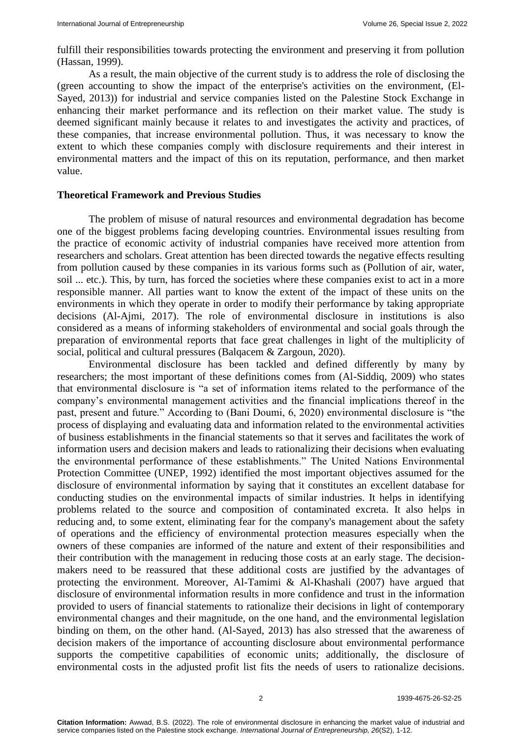fulfill their responsibilities towards protecting the environment and preserving it from pollution (Hassan, 1999).

As a result, the main objective of the current study is to address the role of disclosing the (green accounting to show the impact of the enterprise's activities on the environment, (El-Sayed, 2013)) for industrial and service companies listed on the Palestine Stock Exchange in enhancing their market performance and its reflection on their market value. The study is deemed significant mainly because it relates to and investigates the activity and practices, of these companies, that increase environmental pollution. Thus, it was necessary to know the extent to which these companies comply with disclosure requirements and their interest in environmental matters and the impact of this on its reputation, performance, and then market value.

#### **Theoretical Framework and Previous Studies**

The problem of misuse of natural resources and environmental degradation has become one of the biggest problems facing developing countries. Environmental issues resulting from the practice of economic activity of industrial companies have received more attention from researchers and scholars. Great attention has been directed towards the negative effects resulting from pollution caused by these companies in its various forms such as (Pollution of air, water, soil ... etc.). This, by turn, has forced the societies where these companies exist to act in a more responsible manner. All parties want to know the extent of the impact of these units on the environments in which they operate in order to modify their performance by taking appropriate decisions (Al-Ajmi, 2017). The role of environmental disclosure in institutions is also considered as a means of informing stakeholders of environmental and social goals through the preparation of environmental reports that face great challenges in light of the multiplicity of social, political and cultural pressures (Balqacem & Zargoun, 2020).

Environmental disclosure has been tackled and defined differently by many by researchers; the most important of these definitions comes from (Al-Siddiq, 2009) who states that environmental disclosure is "a set of information items related to the performance of the company's environmental management activities and the financial implications thereof in the past, present and future." According to (Bani Doumi, 6, 2020) environmental disclosure is "the process of displaying and evaluating data and information related to the environmental activities of business establishments in the financial statements so that it serves and facilitates the work of information users and decision makers and leads to rationalizing their decisions when evaluating the environmental performance of these establishments." The United Nations Environmental Protection Committee (UNEP, 1992) identified the most important objectives assumed for the disclosure of environmental information by saying that it constitutes an excellent database for conducting studies on the environmental impacts of similar industries. It helps in identifying problems related to the source and composition of contaminated excreta. It also helps in reducing and, to some extent, eliminating fear for the company's management about the safety of operations and the efficiency of environmental protection measures especially when the owners of these companies are informed of the nature and extent of their responsibilities and their contribution with the management in reducing those costs at an early stage. The decisionmakers need to be reassured that these additional costs are justified by the advantages of protecting the environment. Moreover, Al-Tamimi & Al-Khashali (2007) have argued that disclosure of environmental information results in more confidence and trust in the information provided to users of financial statements to rationalize their decisions in light of contemporary environmental changes and their magnitude, on the one hand, and the environmental legislation binding on them, on the other hand. (Al-Sayed, 2013) has also stressed that the awareness of decision makers of the importance of accounting disclosure about environmental performance supports the competitive capabilities of economic units; additionally, the disclosure of environmental costs in the adjusted profit list fits the needs of users to rationalize decisions.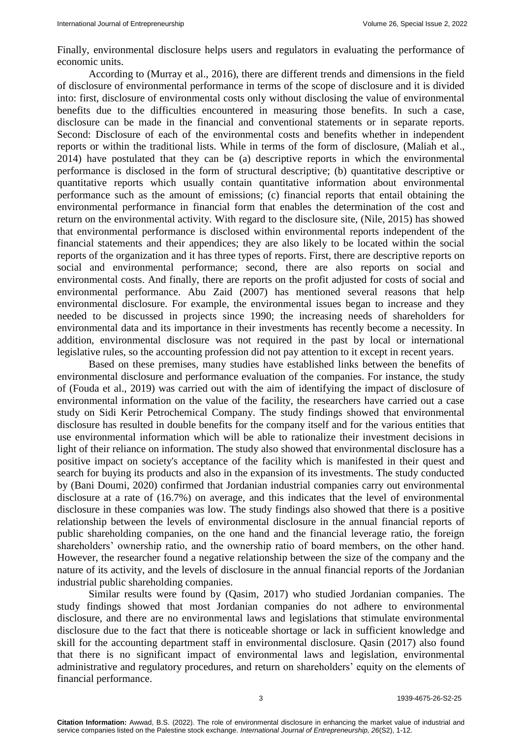Finally, environmental disclosure helps users and regulators in evaluating the performance of economic units.

According to (Murray et al., 2016), there are different trends and dimensions in the field of disclosure of environmental performance in terms of the scope of disclosure and it is divided into: first, disclosure of environmental costs only without disclosing the value of environmental benefits due to the difficulties encountered in measuring those benefits. In such a case, disclosure can be made in the financial and conventional statements or in separate reports. Second: Disclosure of each of the environmental costs and benefits whether in independent reports or within the traditional lists. While in terms of the form of disclosure, (Maliah et al., 2014) have postulated that they can be (a) descriptive reports in which the environmental performance is disclosed in the form of structural descriptive; (b) quantitative descriptive or quantitative reports which usually contain quantitative information about environmental performance such as the amount of emissions; (c) financial reports that entail obtaining the environmental performance in financial form that enables the determination of the cost and return on the environmental activity. With regard to the disclosure site, (Nile, 2015) has showed that environmental performance is disclosed within environmental reports independent of the financial statements and their appendices; they are also likely to be located within the social reports of the organization and it has three types of reports. First, there are descriptive reports on social and environmental performance; second, there are also reports on social and environmental costs. And finally, there are reports on the profit adjusted for costs of social and environmental performance. Abu Zaid (2007) has mentioned several reasons that help environmental disclosure. For example, the environmental issues began to increase and they needed to be discussed in projects since 1990; the increasing needs of shareholders for environmental data and its importance in their investments has recently become a necessity. In addition, environmental disclosure was not required in the past by local or international legislative rules, so the accounting profession did not pay attention to it except in recent years.

Based on these premises, many studies have established links between the benefits of environmental disclosure and performance evaluation of the companies. For instance, the study of (Fouda et al., 2019) was carried out with the aim of identifying the impact of disclosure of environmental information on the value of the facility, the researchers have carried out a case study on Sidi Kerir Petrochemical Company. The study findings showed that environmental disclosure has resulted in double benefits for the company itself and for the various entities that use environmental information which will be able to rationalize their investment decisions in light of their reliance on information. The study also showed that environmental disclosure has a positive impact on society's acceptance of the facility which is manifested in their quest and search for buying its products and also in the expansion of its investments. The study conducted by (Bani Doumi, 2020) confirmed that Jordanian industrial companies carry out environmental disclosure at a rate of (16.7%) on average, and this indicates that the level of environmental disclosure in these companies was low. The study findings also showed that there is a positive relationship between the levels of environmental disclosure in the annual financial reports of public shareholding companies, on the one hand and the financial leverage ratio, the foreign shareholders' ownership ratio, and the ownership ratio of board members, on the other hand. However, the researcher found a negative relationship between the size of the company and the nature of its activity, and the levels of disclosure in the annual financial reports of the Jordanian industrial public shareholding companies.

Similar results were found by (Qasim, 2017) who studied Jordanian companies. The study findings showed that most Jordanian companies do not adhere to environmental disclosure, and there are no environmental laws and legislations that stimulate environmental disclosure due to the fact that there is noticeable shortage or lack in sufficient knowledge and skill for the accounting department staff in environmental disclosure. Qasin (2017) also found that there is no significant impact of environmental laws and legislation, environmental administrative and regulatory procedures, and return on shareholders' equity on the elements of financial performance.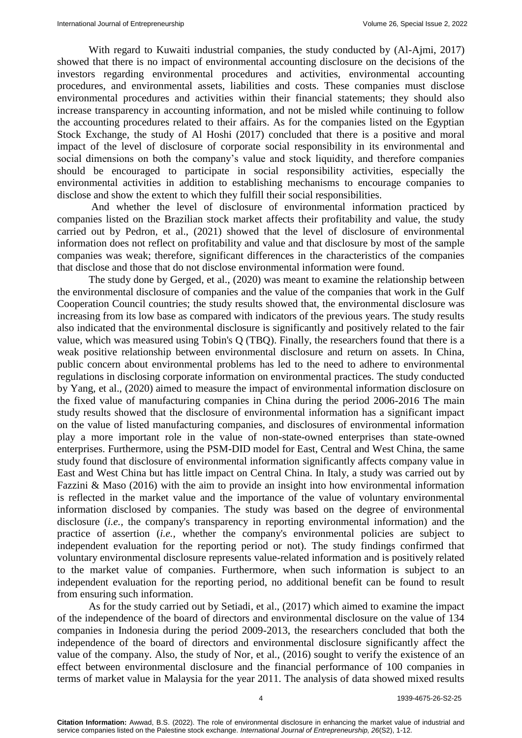With regard to Kuwaiti industrial companies, the study conducted by (Al-Ajmi, 2017) showed that there is no impact of environmental accounting disclosure on the decisions of the investors regarding environmental procedures and activities, environmental accounting procedures, and environmental assets, liabilities and costs. These companies must disclose environmental procedures and activities within their financial statements; they should also increase transparency in accounting information, and not be misled while continuing to follow the accounting procedures related to their affairs. As for the companies listed on the Egyptian Stock Exchange, the study of Al Hoshi (2017) concluded that there is a positive and moral impact of the level of disclosure of corporate social responsibility in its environmental and social dimensions on both the company's value and stock liquidity, and therefore companies should be encouraged to participate in social responsibility activities, especially the environmental activities in addition to establishing mechanisms to encourage companies to disclose and show the extent to which they fulfill their social responsibilities.

And whether the level of disclosure of environmental information practiced by companies listed on the Brazilian stock market affects their profitability and value, the study carried out by Pedron, et al., (2021) showed that the level of disclosure of environmental information does not reflect on profitability and value and that disclosure by most of the sample companies was weak; therefore, significant differences in the characteristics of the companies that disclose and those that do not disclose environmental information were found.

The study done by Gerged, et al., (2020) was meant to examine the relationship between the environmental disclosure of companies and the value of the companies that work in the Gulf Cooperation Council countries; the study results showed that, the environmental disclosure was increasing from its low base as compared with indicators of the previous years. The study results also indicated that the environmental disclosure is significantly and positively related to the fair value, which was measured using Tobin's Q (TBQ). Finally, the researchers found that there is a weak positive relationship between environmental disclosure and return on assets. In China, public concern about environmental problems has led to the need to adhere to environmental regulations in disclosing corporate information on environmental practices. The study conducted by Yang, et al., (2020) aimed to measure the impact of environmental information disclosure on the fixed value of manufacturing companies in China during the period 2006-2016 The main study results showed that the disclosure of environmental information has a significant impact on the value of listed manufacturing companies, and disclosures of environmental information play a more important role in the value of non-state-owned enterprises than state-owned enterprises. Furthermore, using the PSM-DID model for East, Central and West China, the same study found that disclosure of environmental information significantly affects company value in East and West China but has little impact on Central China. In Italy, a study was carried out by Fazzini & Maso (2016) with the aim to provide an insight into how environmental information is reflected in the market value and the importance of the value of voluntary environmental information disclosed by companies. The study was based on the degree of environmental disclosure (*i.e.,* the company's transparency in reporting environmental information) and the practice of assertion (*i.e.,* whether the company's environmental policies are subject to independent evaluation for the reporting period or not). The study findings confirmed that voluntary environmental disclosure represents value-related information and is positively related to the market value of companies. Furthermore, when such information is subject to an independent evaluation for the reporting period, no additional benefit can be found to result from ensuring such information.

As for the study carried out by Setiadi, et al., (2017) which aimed to examine the impact of the independence of the board of directors and environmental disclosure on the value of 134 companies in Indonesia during the period 2009-2013, the researchers concluded that both the independence of the board of directors and environmental disclosure significantly affect the value of the company. Also, the study of Nor, et al., (2016) sought to verify the existence of an effect between environmental disclosure and the financial performance of 100 companies in terms of market value in Malaysia for the year 2011. The analysis of data showed mixed results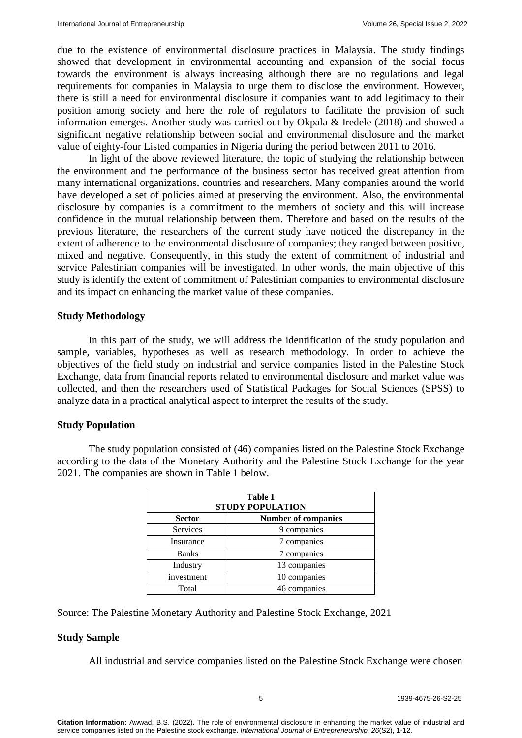due to the existence of environmental disclosure practices in Malaysia. The study findings showed that development in environmental accounting and expansion of the social focus towards the environment is always increasing although there are no regulations and legal requirements for companies in Malaysia to urge them to disclose the environment. However, there is still a need for environmental disclosure if companies want to add legitimacy to their position among society and here the role of regulators to facilitate the provision of such information emerges. Another study was carried out by Okpala & Iredele (2018) and showed a significant negative relationship between social and environmental disclosure and the market value of eighty-four Listed companies in Nigeria during the period between 2011 to 2016.

In light of the above reviewed literature, the topic of studying the relationship between the environment and the performance of the business sector has received great attention from many international organizations, countries and researchers. Many companies around the world have developed a set of policies aimed at preserving the environment. Also, the environmental disclosure by companies is a commitment to the members of society and this will increase confidence in the mutual relationship between them. Therefore and based on the results of the previous literature, the researchers of the current study have noticed the discrepancy in the extent of adherence to the environmental disclosure of companies; they ranged between positive, mixed and negative. Consequently, in this study the extent of commitment of industrial and service Palestinian companies will be investigated. In other words, the main objective of this study is identify the extent of commitment of Palestinian companies to environmental disclosure and its impact on enhancing the market value of these companies.

#### **Study Methodology**

In this part of the study, we will address the identification of the study population and sample, variables, hypotheses as well as research methodology. In order to achieve the objectives of the field study on industrial and service companies listed in the Palestine Stock Exchange, data from financial reports related to environmental disclosure and market value was collected, and then the researchers used of Statistical Packages for Social Sciences (SPSS) to analyze data in a practical analytical aspect to interpret the results of the study.

#### **Study Population**

The study population consisted of (46) companies listed on the Palestine Stock Exchange according to the data of the Monetary Authority and the Palestine Stock Exchange for the year 2021. The companies are shown in Table 1 below.

| Table 1<br><b>STUDY POPULATION</b>          |              |  |  |
|---------------------------------------------|--------------|--|--|
| <b>Number of companies</b><br><b>Sector</b> |              |  |  |
| <b>Services</b>                             | 9 companies  |  |  |
| Insurance                                   | 7 companies  |  |  |
| <b>Banks</b>                                | 7 companies  |  |  |
| Industry                                    | 13 companies |  |  |
| investment                                  | 10 companies |  |  |
| Total                                       | 46 companies |  |  |

Source: The Palestine Monetary Authority and Palestine Stock Exchange, 2021

#### **Study Sample**

All industrial and service companies listed on the Palestine Stock Exchange were chosen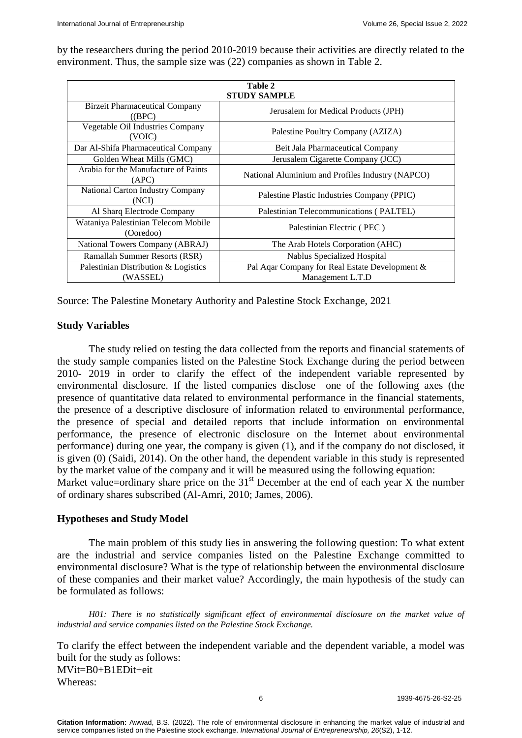by the researchers during the period 2010-2019 because their activities are directly related to the environment. Thus, the sample size was (22) companies as shown in Table 2.

| Table 2                                          |                                                  |  |  |  |  |
|--------------------------------------------------|--------------------------------------------------|--|--|--|--|
| <b>STUDY SAMPLE</b>                              |                                                  |  |  |  |  |
| <b>Birzeit Pharmaceutical Company</b><br>((BPC)  | Jerusalem for Medical Products (JPH)             |  |  |  |  |
| Vegetable Oil Industries Company<br>(VOIC)       | Palestine Poultry Company (AZIZA)                |  |  |  |  |
| Dar Al-Shifa Pharmaceutical Company              | Beit Jala Pharmaceutical Company                 |  |  |  |  |
| Golden Wheat Mills (GMC)                         | Jerusalem Cigarette Company (JCC)                |  |  |  |  |
| Arabia for the Manufacture of Paints<br>(APC)    | National Aluminium and Profiles Industry (NAPCO) |  |  |  |  |
| National Carton Industry Company<br>(NCI)        | Palestine Plastic Industries Company (PPIC)      |  |  |  |  |
| Al Sharq Electrode Company                       | Palestinian Telecommunications (PALTEL)          |  |  |  |  |
| Wataniya Palestinian Telecom Mobile<br>(Ooredoo) | Palestinian Electric (PEC)                       |  |  |  |  |
| National Towers Company (ABRAJ)                  | The Arab Hotels Corporation (AHC)                |  |  |  |  |
| Ramallah Summer Resorts (RSR)                    | Nablus Specialized Hospital                      |  |  |  |  |
| Palestinian Distribution & Logistics             | Pal Aqar Company for Real Estate Development &   |  |  |  |  |
| (WASSEL)                                         | Management L.T.D                                 |  |  |  |  |

Source: The Palestine Monetary Authority and Palestine Stock Exchange, 2021

# **Study Variables**

The study relied on testing the data collected from the reports and financial statements of the study sample companies listed on the Palestine Stock Exchange during the period between 2010- 2019 in order to clarify the effect of the independent variable represented by environmental disclosure. If the listed companies disclose one of the following axes (the presence of quantitative data related to environmental performance in the financial statements, the presence of a descriptive disclosure of information related to environmental performance, the presence of special and detailed reports that include information on environmental performance, the presence of electronic disclosure on the Internet about environmental performance) during one year, the company is given (1), and if the company do not disclosed, it is given (0) (Saidi, 2014). On the other hand, the dependent variable in this study is represented by the market value of the company and it will be measured using the following equation: Market value=ordinary share price on the  $31<sup>st</sup>$  December at the end of each year X the number of ordinary shares subscribed (Al-Amri, 2010; James, 2006).

# **Hypotheses and Study Model**

The main problem of this study lies in answering the following question: To what extent are the industrial and service companies listed on the Palestine Exchange committed to environmental disclosure? What is the type of relationship between the environmental disclosure of these companies and their market value? Accordingly, the main hypothesis of the study can be formulated as follows:

*H01: There is no statistically significant effect of environmental disclosure on the market value of industrial and service companies listed on the Palestine Stock Exchange.*

To clarify the effect between the independent variable and the dependent variable, a model was built for the study as follows: MVit=B0+B1EDit+eit Whereas: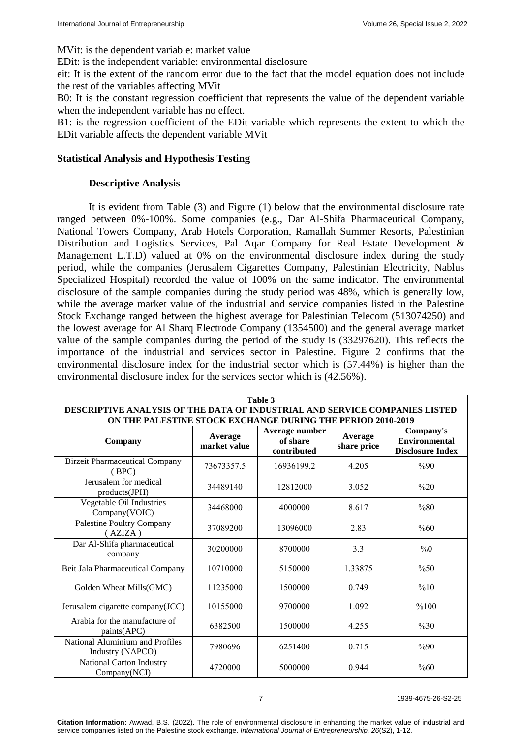MVit: is the dependent variable: market value

EDit: is the independent variable: environmental disclosure

eit: It is the extent of the random error due to the fact that the model equation does not include the rest of the variables affecting MVit

B0: It is the constant regression coefficient that represents the value of the dependent variable when the independent variable has no effect.

B1: is the regression coefficient of the EDit variable which represents the extent to which the EDit variable affects the dependent variable MVit

# **Statistical Analysis and Hypothesis Testing**

#### **Descriptive Analysis**

It is evident from Table (3) and Figure (1) below that the environmental disclosure rate ranged between 0%-100%. Some companies (e.g., Dar Al-Shifa Pharmaceutical Company, National Towers Company, Arab Hotels Corporation, Ramallah Summer Resorts, Palestinian Distribution and Logistics Services, Pal Aqar Company for Real Estate Development & Management L.T.D) valued at 0% on the environmental disclosure index during the study period, while the companies (Jerusalem Cigarettes Company, Palestinian Electricity, Nablus Specialized Hospital) recorded the value of 100% on the same indicator. The environmental disclosure of the sample companies during the study period was 48%, which is generally low, while the average market value of the industrial and service companies listed in the Palestine Stock Exchange ranged between the highest average for Palestinian Telecom (513074250) and the lowest average for Al Sharq Electrode Company (1354500) and the general average market value of the sample companies during the period of the study is (33297620). This reflects the importance of the industrial and services sector in Palestine. Figure 2 confirms that the environmental disclosure index for the industrial sector which is (57.44%) is higher than the environmental disclosure index for the services sector which is (42.56%).

| Table 3<br>DESCRIPTIVE ANALYSIS OF THE DATA OF INDUSTRIAL AND SERVICE COMPANIES LISTED |                         |                                           |                        |                                                              |  |  |
|----------------------------------------------------------------------------------------|-------------------------|-------------------------------------------|------------------------|--------------------------------------------------------------|--|--|
| ON THE PALESTINE STOCK EXCHANGE DURING THE PERIOD 2010-2019                            |                         |                                           |                        |                                                              |  |  |
| Company                                                                                | Average<br>market value | Average number<br>of share<br>contributed | Average<br>share price | Company's<br><b>Environmental</b><br><b>Disclosure Index</b> |  |  |
| <b>Birzeit Pharmaceutical Company</b><br>(BPC)                                         | 73673357.5              | 16936199.2                                | 4.205                  | %90                                                          |  |  |
| Jerusalem for medical<br>products(JPH)                                                 | 34489140                | 12812000                                  | 3.052                  | $\%20$                                                       |  |  |
| Vegetable Oil Industries<br>Company(VOIC)                                              | 34468000                | 4000000                                   | 8.617                  | $\%80$                                                       |  |  |
| Palestine Poultry Company<br>(AZIZA)                                                   | 37089200                | 13096000                                  | 2.83                   | $\%60$                                                       |  |  |
| Dar Al-Shifa pharmaceutical<br>company                                                 | 30200000                | 8700000                                   | 3.3                    | $\%0$                                                        |  |  |
| Beit Jala Pharmaceutical Company                                                       | 10710000                | 5150000                                   | 1.33875                | %50                                                          |  |  |
| Golden Wheat Mills(GMC)                                                                | 11235000                | 1500000                                   | 0.749                  | %10                                                          |  |  |
| Jerusalem cigarette company(JCC)                                                       | 10155000                | 9700000                                   | 1.092                  | %100                                                         |  |  |
| Arabia for the manufacture of<br>paints(APC)                                           | 6382500                 | 1500000                                   | 4.255                  | $\%30$                                                       |  |  |
| National Aluminium and Profiles<br>Industry (NAPCO)                                    | 7980696                 | 6251400                                   | 0.715                  | %90                                                          |  |  |
| National Carton Industry<br>Company(NCI)                                               | 4720000                 | 5000000                                   | 0.944                  | $\%60$                                                       |  |  |

7 1939-4675-26-S2-25

**Citation Information:** Awwad, B.S. (2022). The role of environmental disclosure in enhancing the market value of industrial and service companies listed on the Palestine stock exchange. *International Journal of Entrepreneurship, 26*(S2), 1-12.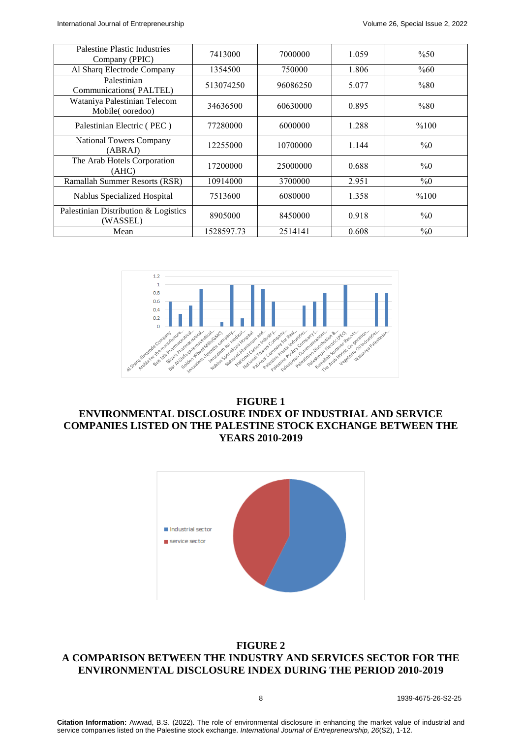| Palestine Plastic Industries<br>Company (PPIC)   | 7413000    | 7000000  | 1.059 | %50    |
|--------------------------------------------------|------------|----------|-------|--------|
| Al Sharq Electrode Company                       | 1354500    | 750000   | 1.806 | %60    |
| Palestinian<br><b>Communications</b> (PALTEL)    | 513074250  | 96086250 | 5.077 | %80    |
| Wataniya Palestinian Telecom<br>Mobile(ooredoo)  | 34636500   | 60630000 | 0.895 | $\%80$ |
| Palestinian Electric (PEC)                       | 77280000   | 6000000  | 1.288 | %100   |
| <b>National Towers Company</b><br>(ABRAJ)        | 12255000   | 10700000 | 1.144 | $\%0$  |
| The Arab Hotels Corporation<br>(AHC)             | 17200000   | 25000000 | 0.688 | $\%0$  |
| Ramallah Summer Resorts (RSR)                    | 10914000   | 3700000  | 2.951 | $\%0$  |
| Nablus Specialized Hospital                      | 7513600    | 6080000  | 1.358 | %100   |
| Palestinian Distribution & Logistics<br>(WASSEL) | 8905000    | 8450000  | 0.918 | $\%0$  |
| Mean                                             | 1528597.73 | 2514141  | 0.608 | $\%0$  |



# **FIGURE 1 ENVIRONMENTAL DISCLOSURE INDEX OF INDUSTRIAL AND SERVICE COMPANIES LISTED ON THE PALESTINE STOCK EXCHANGE BETWEEN THE YEARS 2010-2019**



# **FIGURE 2 A COMPARISON BETWEEN THE INDUSTRY AND SERVICES SECTOR FOR THE ENVIRONMENTAL DISCLOSURE INDEX DURING THE PERIOD 2010-2019**

8 1939-4675-26-S2-25

**Citation Information:** Awwad, B.S. (2022). The role of environmental disclosure in enhancing the market value of industrial and service companies listed on the Palestine stock exchange. *International Journal of Entrepreneurship, 26*(S2), 1-12.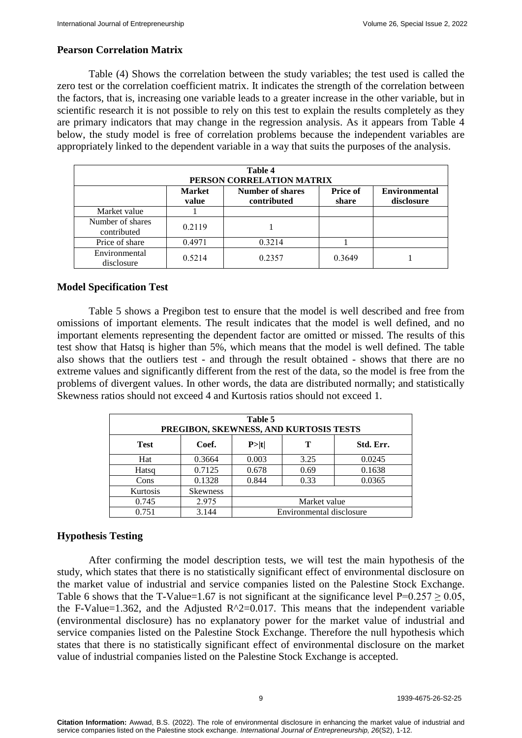# **Pearson Correlation Matrix**

Table (4) Shows the correlation between the study variables; the test used is called the zero test or the correlation coefficient matrix. It indicates the strength of the correlation between the factors, that is, increasing one variable leads to a greater increase in the other variable, but in scientific research it is not possible to rely on this test to explain the results completely as they are primary indicators that may change in the regression analysis. As it appears from Table 4 below, the study model is free of correlation problems because the independent variables are appropriately linked to the dependent variable in a way that suits the purposes of the analysis.

| Table 4<br>PERSON CORRELATION MATRIX |                        |                                        |                          |                                    |  |
|--------------------------------------|------------------------|----------------------------------------|--------------------------|------------------------------------|--|
|                                      | <b>Market</b><br>value | <b>Number of shares</b><br>contributed | <b>Price of</b><br>share | <b>Environmental</b><br>disclosure |  |
| Market value                         |                        |                                        |                          |                                    |  |
| Number of shares<br>contributed      | 0.2119                 |                                        |                          |                                    |  |
| Price of share                       | 0.4971                 | 0.3214                                 |                          |                                    |  |
| Environmental<br>disclosure          | 0.5214                 | 0.2357                                 | 0.3649                   |                                    |  |

# **Model Specification Test**

Table 5 shows a Pregibon test to ensure that the model is well described and free from omissions of important elements. The result indicates that the model is well defined, and no important elements representing the dependent factor are omitted or missed. The results of this test show that Hatsq is higher than 5%, which means that the model is well defined. The table also shows that the outliers test - and through the result obtained - shows that there are no extreme values and significantly different from the rest of the data, so the model is free from the problems of divergent values. In other words, the data are distributed normally; and statistically Skewness ratios should not exceed 4 and Kurtosis ratios should not exceed 1.

| Table 5<br>PREGIBON, SKEWNESS, AND KURTOSIS TESTS |                 |                          |      |           |  |
|---------------------------------------------------|-----------------|--------------------------|------|-----------|--|
| <b>Test</b>                                       | Coef.           | P> t                     | т    | Std. Err. |  |
| Hat                                               | 0.3664          | 0.003                    | 3.25 | 0.0245    |  |
| Hatsq                                             | 0.7125          | 0.678                    | 0.69 | 0.1638    |  |
| Cons                                              | 0.1328          | 0.844                    | 0.33 | 0.0365    |  |
| Kurtosis                                          | <b>Skewness</b> |                          |      |           |  |
| 0.745                                             | 2.975           | Market value             |      |           |  |
| 0.751                                             | 3.144           | Environmental disclosure |      |           |  |

# **Hypothesis Testing**

After confirming the model description tests, we will test the main hypothesis of the study, which states that there is no statistically significant effect of environmental disclosure on the market value of industrial and service companies listed on the Palestine Stock Exchange. Table 6 shows that the T-Value=1.67 is not significant at the significance level  $P=0.257 \ge 0.05$ , the F-Value=1.362, and the Adjusted  $R^2$ =0.017. This means that the independent variable (environmental disclosure) has no explanatory power for the market value of industrial and service companies listed on the Palestine Stock Exchange. Therefore the null hypothesis which states that there is no statistically significant effect of environmental disclosure on the market value of industrial companies listed on the Palestine Stock Exchange is accepted.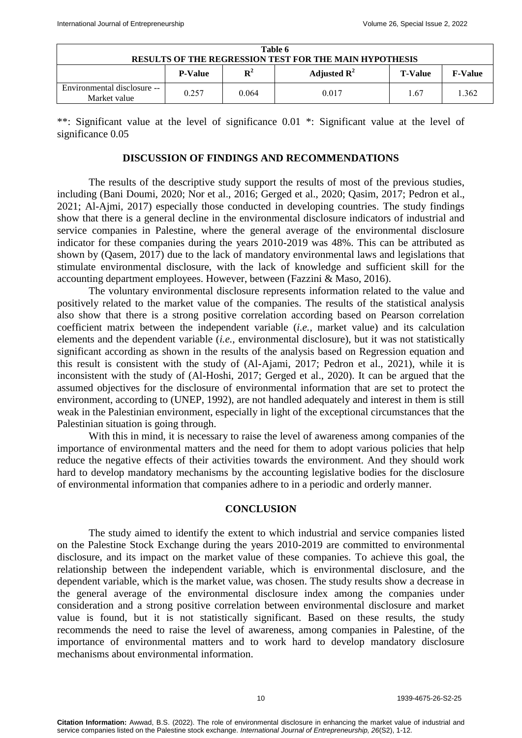| Table 6<br><b>RESULTS OF THE REGRESSION TEST FOR THE MAIN HYPOTHESIS</b> |                                                                                              |       |       |     |       |  |
|--------------------------------------------------------------------------|----------------------------------------------------------------------------------------------|-------|-------|-----|-------|--|
|                                                                          | ${\bf R}^2$<br>Adjusted $\mathbb{R}^2$<br><b>P-Value</b><br><b>T-Value</b><br><b>F-Value</b> |       |       |     |       |  |
| Environmental disclosure --<br>Market value                              | 0.257                                                                                        | 0.064 | 0.017 | .67 | 1.362 |  |

\*\*: Significant value at the level of significance 0.01 \*: Significant value at the level of significance  $0.05$ 

#### **DISCUSSION OF FINDINGS AND RECOMMENDATIONS**

The results of the descriptive study support the results of most of the previous studies, including (Bani Doumi, 2020; Nor et al., 2016; Gerged et al., 2020; Qasim, 2017; Pedron et al., 2021; Al-Ajmi, 2017) especially those conducted in developing countries. The study findings show that there is a general decline in the environmental disclosure indicators of industrial and service companies in Palestine, where the general average of the environmental disclosure indicator for these companies during the years 2010-2019 was 48%. This can be attributed as shown by (Qasem, 2017) due to the lack of mandatory environmental laws and legislations that stimulate environmental disclosure, with the lack of knowledge and sufficient skill for the accounting department employees. However, between (Fazzini & Maso, 2016).

The voluntary environmental disclosure represents information related to the value and positively related to the market value of the companies. The results of the statistical analysis also show that there is a strong positive correlation according based on Pearson correlation coefficient matrix between the independent variable (*i.e.,* market value) and its calculation elements and the dependent variable (*i.e.,* environmental disclosure), but it was not statistically significant according as shown in the results of the analysis based on Regression equation and this result is consistent with the study of (Al-Ajami, 2017; Pedron et al., 2021), while it is inconsistent with the study of (Al-Hoshi, 2017; Gerged et al., 2020). It can be argued that the assumed objectives for the disclosure of environmental information that are set to protect the environment, according to (UNEP, 1992), are not handled adequately and interest in them is still weak in the Palestinian environment, especially in light of the exceptional circumstances that the Palestinian situation is going through.

With this in mind, it is necessary to raise the level of awareness among companies of the importance of environmental matters and the need for them to adopt various policies that help reduce the negative effects of their activities towards the environment. And they should work hard to develop mandatory mechanisms by the accounting legislative bodies for the disclosure of environmental information that companies adhere to in a periodic and orderly manner.

#### **CONCLUSION**

The study aimed to identify the extent to which industrial and service companies listed on the Palestine Stock Exchange during the years 2010-2019 are committed to environmental disclosure, and its impact on the market value of these companies. To achieve this goal, the relationship between the independent variable, which is environmental disclosure, and the dependent variable, which is the market value, was chosen. The study results show a decrease in the general average of the environmental disclosure index among the companies under consideration and a strong positive correlation between environmental disclosure and market value is found, but it is not statistically significant. Based on these results, the study recommends the need to raise the level of awareness, among companies in Palestine, of the importance of environmental matters and to work hard to develop mandatory disclosure mechanisms about environmental information.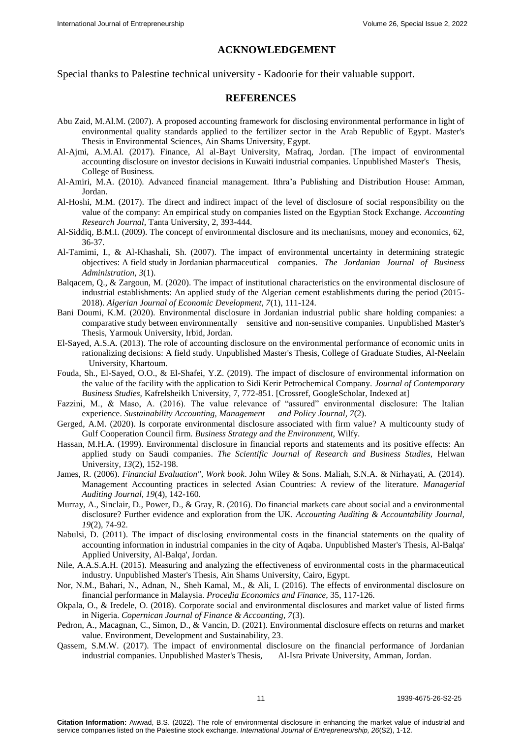#### **ACKNOWLEDGEMENT**

Special thanks to Palestine technical university - Kadoorie for their valuable support.

#### **REFERENCES**

- Abu Zaid, M.Al.M. (2007). [A proposed accounting framework for disclosing environmental performance in light of](https://www.researchgate.net/publication/357367942_The_role_of_environmental_disclosure_in_enhancing_the_market_value_of_industrial_and_service_companies_listed_on_the_Palestine_stock_exchange)  [environmental quality standards applied to the fertilizer sector in the Arab Republic of Egypt.](https://www.researchgate.net/publication/357367942_The_role_of_environmental_disclosure_in_enhancing_the_market_value_of_industrial_and_service_companies_listed_on_the_Palestine_stock_exchange) Master's Thesis in Environmental Sciences, Ain Shams University, Egypt.
- Al-Ajmi, A.M.Al. (2017). Finance, Al al-Bayt University, Mafraq, Jordan. [The impact of environmental accounting disclosure on investor decisions in Kuwaiti industrial companies. Unpublished Master's Thesis, College of Business.
- Al-Amiri, M.A. (2010). [Advanced financial management. Ithra'a Publishing and Distribution House: Amman,](https://www.researchgate.net/publication/357367942_The_role_of_environmental_disclosure_in_enhancing_the_market_value_of_industrial_and_service_companies_listed_on_the_Palestine_stock_exchange)  [Jordan.](https://www.researchgate.net/publication/357367942_The_role_of_environmental_disclosure_in_enhancing_the_market_value_of_industrial_and_service_companies_listed_on_the_Palestine_stock_exchange)
- Al-Hoshi, M.M. (2017). The direct and indirect impact of the level of disclosure of social responsibility on the value of the company: An empirical study on companies listed on the Egyptian Stock Exchange. *Accounting Research Journal,* Tanta University, 2, 393-444.
- Al-Siddiq, B.M.I. (2009). The concept of environmental disclosure and its mechanisms, money and economics, 62, 36-37.
- Al-Tamimi, I., & Al-Khashali, Sh. (2007). The impact of environmental uncertainty in determining strategic objectives: A field study in Jordanian pharmaceutical companies. *The Jordanian Journal of Business Administration, 3*(1).
- Balqacem, Q., & Zargoun, M. (2020). [The impact of institutional characteristics on the environmental disclosure of](https://www.researchgate.net/publication/357367942_The_role_of_environmental_disclosure_in_enhancing_the_market_value_of_industrial_and_service_companies_listed_on_the_Palestine_stock_exchange)  [industrial establishments: An applied study of the Algerian cement establishments during the period \(2015-](https://www.researchgate.net/publication/357367942_The_role_of_environmental_disclosure_in_enhancing_the_market_value_of_industrial_and_service_companies_listed_on_the_Palestine_stock_exchange) [2018\).](https://www.researchgate.net/publication/357367942_The_role_of_environmental_disclosure_in_enhancing_the_market_value_of_industrial_and_service_companies_listed_on_the_Palestine_stock_exchange) *Algerian Journal of Economic Development, 7*(1), 111-124.
- Bani Doumi, K.M. (2020). [Environmental disclosure in Jordanian industrial public share holding companies: a](https://www.researchgate.net/publication/272662668_Environmental_Disclosure_in_Industrial_Companies_in_Aqaba)  [comparative study between environmentally sensitive and non-sensitive companies.](https://www.researchgate.net/publication/272662668_Environmental_Disclosure_in_Industrial_Companies_in_Aqaba) Unpublished Master's Thesis, Yarmouk University, Irbid, Jordan.
- El-Sayed, A.S.A. (2013). The role of accounting disclosure on the environmental performance of economic units in rationalizing decisions: A field study. Unpublished Master's Thesis, College of Graduate Studies, Al-Neelain University, Khartoum.
- Fouda, Sh., El-Sayed, O.O., & El-Shafei, Y.Z. (2019). The impact of disclosure of environmental information on the value of the facility with the application to Sidi Kerir Petrochemical Company. *Journal of Contemporary Business Studies,* Kafrelsheikh University, 7, 772-851. [Crossref, GoogleScholar, Indexed at]
- Fazzini, M., & Maso, A. (2016). The value relevance of "assured" environmental disclosure: The Italian experience. *Sustainability Accounting, Management and Policy Journal, 7*(2).
- Gerged, A.M. (202[0\). Is corporate environmental disclosure associated with firm value? A multicounty study of](https://onlinelibrary.wiley.com/doi/10.1002/bse.2616)  [Gulf Cooperation Council firm.](https://onlinelibrary.wiley.com/doi/10.1002/bse.2616) *Business Strategy and the Environment,* Wilfy.
- Hassan, M.H.A. (199[9\). Environmental disclosure in financial reports and statements and its positive effects: An](https://www.researchgate.net/publication/340845937_THE_EFFECTS_OF_SUSTAINABILITY_DISCLOSURE_ON_THE_QUALITY_OF_FINANCIAL_REPORTS_IN_SAUDI_BUSINESS_ENVIRONMENT)  [applied study on Saudi companies.](https://www.researchgate.net/publication/340845937_THE_EFFECTS_OF_SUSTAINABILITY_DISCLOSURE_ON_THE_QUALITY_OF_FINANCIAL_REPORTS_IN_SAUDI_BUSINESS_ENVIRONMENT) *The Scientific Journal of Research and Business Studies,* Helwan University, *13*(2), 152-198.
- James, R. (2006). *Financial Evaluation", Work book*. John Wiley & Sons. Maliah, S.N.A. & Nirhayati, A. (2014). [Management Accounting practices in selected Asian Countries: A review of the literature.](https://www.emerald.com/insight/content/doi/10.1108/02686900410530501/full/html) *Managerial Auditing Journal, 19(4), 142-160.*
- Murray, A., Sinclair, D., Power, D., & Gray, R. (2016). [Do financial markets care about social and a environmental](https://www.emerald.com/insight/content/doi/10.1108/09513570610656105/full/html)  [disclosure? Further evidence and exploration from the UK.](https://www.emerald.com/insight/content/doi/10.1108/09513570610656105/full/html) *Accounting Auditing & Accountability Journal, 19*(2), 74-92.
- Nabulsi, D. (2011). [The impact of disclosing environmental costs in the financial statements on the quality of](https://www.researchgate.net/publication/272662668_Environmental_Disclosure_in_Industrial_Companies_in_Aqaba)  [accounting information in industrial companies in the city of Aqaba.](https://www.researchgate.net/publication/272662668_Environmental_Disclosure_in_Industrial_Companies_in_Aqaba) Unpublished Master's Thesis, Al-Balqa' Applied University, Al-Balqa', Jordan.
- Nile, A.A.S.A.H. (2015). [Measuring and analyzing the effectiveness of environmental costs in the pharmaceutical](https://journals.ekb.eg/article_208922.html)  [industry. Unpublished Master's Thesis, Ain Shams University, Cairo, Egypt.](https://journals.ekb.eg/article_208922.html)
- Nor, N.M., Bahari, N., Adnan, N., Sheh Kamal, M., & Ali, I. (2016). [The effects of environmental disclosure on](https://linkinghub.elsevier.com/retrieve/pii/S2212567116000162)  [financial performance in Malaysia.](https://linkinghub.elsevier.com/retrieve/pii/S2212567116000162) *Procedia Economics and Finance,* 35, 117-1263
- Okpala, O., & Iredele, O. (2018). [Corporate social and environmental disclosures and market value of listed firms](https://apcz.umk.pl/CJFA/article/view/CJFA.2018.013)  [in Nigeria.](https://apcz.umk.pl/CJFA/article/view/CJFA.2018.013) *Copernican Journal of Finance & Accounting, 7*(3).
- Pedron, A., Macagnan, C., Simon, D., & Vancin, D. (2021). Environmental disclosure effects on returns and market value. Environment, Development and Sustainability, 23.
- Qassem, S.M.W. (2017). [The impact of environmental disclosure on the financial performance of Jordanian](https://www.semanticscholar.org/paper/The-Effect-of-Social-Responsibility-Accounting-on-Omar-Shaar/02aff42d88b5b26e3c77f17e8dbd4ac3c60576a9)  [industrial companies.](https://www.semanticscholar.org/paper/The-Effect-of-Social-Responsibility-Accounting-on-Omar-Shaar/02aff42d88b5b26e3c77f17e8dbd4ac3c60576a9) Unpublished Master's Thesis, Al-Isra Private University, Amman, Jordan.